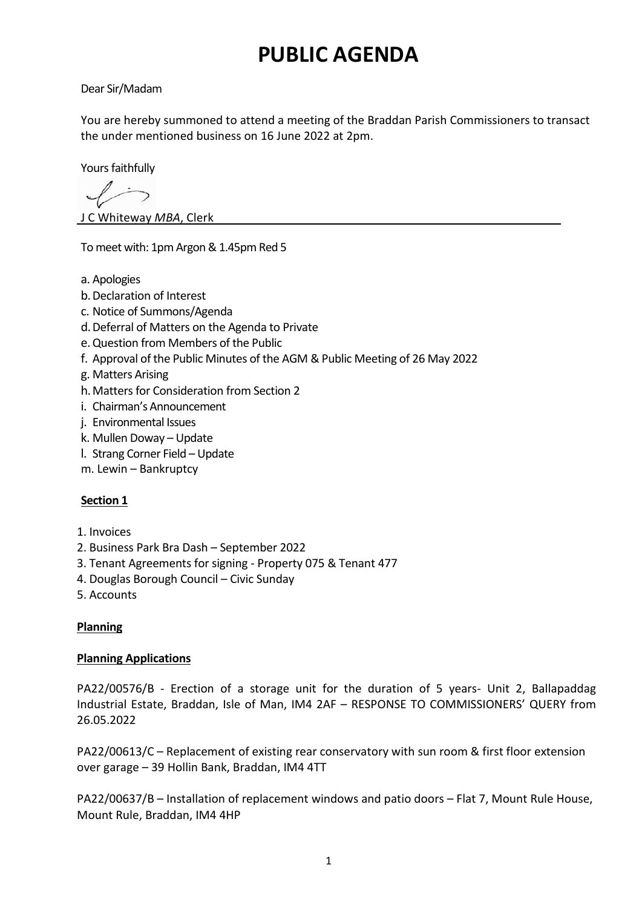# **PUBLIC AGENDA**

Dear Sir/Madam

You are hereby summoned to attend a meeting of the Braddan Parish Commissioners to transact the under mentioned business on 16 June 2022 at 2pm.

Yours faithfully

J C Whiteway *MBA*, Clerk

To meet with: 1pm Argon & 1.45pm Red 5

- a. Apologies
- b.Declaration of Interest
- c. Notice of Summons/Agenda
- d.Deferral of Matters on the Agenda to Private
- e.Question from Members of the Public
- f. Approval of the Public Minutes of the AGM & Public Meeting of 26 May 2022
- g. Matters Arising
- h.Matters for Consideration from Section 2
- i. Chairman's Announcement
- j. Environmental Issues
- k. Mullen Doway Update
- l. Strang Corner Field Update
- m. Lewin Bankruptcy

## **Section 1**

- 1. Invoices
- 2. Business Park Bra Dash September 2022
- 3. Tenant Agreements for signing Property 075 & Tenant 477
- 4. Douglas Borough Council Civic Sunday
- 5. Accounts

## **Planning**

### **Planning Applications**

PA22/00576/B - Erection of a storage unit for the duration of 5 years- Unit 2, Ballapaddag Industrial Estate, Braddan, Isle of Man, IM4 2AF – RESPONSE TO COMMISSIONERS' QUERY from 26.05.2022

PA22/00613/C – Replacement of existing rear conservatory with sun room & first floor extension over garage – 39 Hollin Bank, Braddan, IM4 4TT

PA22/00637/B – Installation of replacement windows and patio doors – Flat 7, Mount Rule House, Mount Rule, Braddan, IM4 4HP